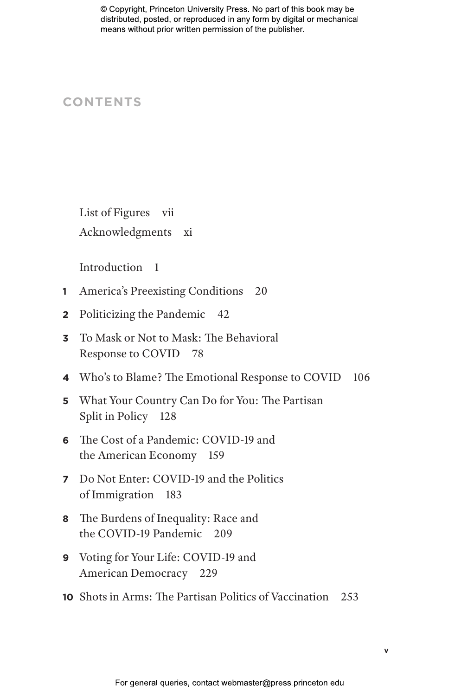# **CONTENTS**

List of Figures vii Acknowledgments xi

Introduction 1

- **1** America's Preexisting Conditions 20
- **2** Politicizing the Pandemic 42
- **3** To Mask or Not to Mask: The Behavioral Response to COVID 78
- **4** Who's to Blame? The Emotional Response to COVID 106
- **5** What Your Country Can Do for You: The Partisan Split in Policy 128
- **6** The Cost of a Pandemic: COVID-19 and the American Economy 159
- **7** Do Not Enter: COVID-19 and the Politics of Immigration 183
- **8** The Burdens of Inequality: Race and the COVID-19 Pandemic 209
- **9** Voting for Your Life: COVID-19 and American Democracy 229
- **10** Shots in Arms: The Partisan Politics of Vaccination 253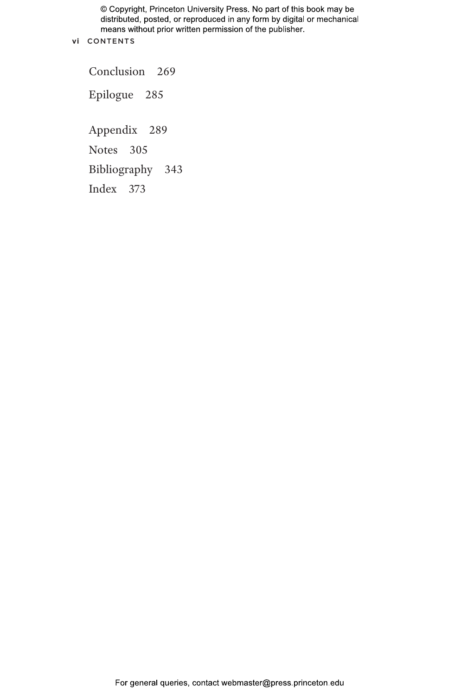**vi** Contents

Conclusion 269 Epilogue 285 Appendix 289 Notes 305 Bibliography 343 Index 373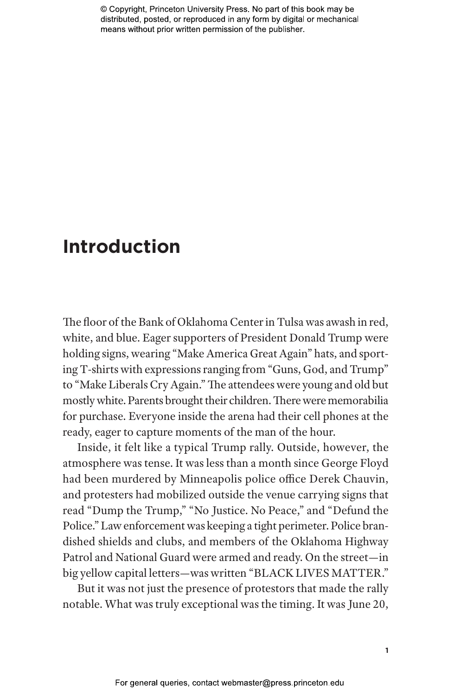# **Introduction**

The floor of the Bank of Oklahoma Center in Tulsa was awash in red, white, and blue. Eager supporters of President Donald Trump were holding signs, wearing "Make America Great Again" hats, and sporting T-shirts with expressions ranging from "Guns, God, and Trump" to "Make Liberals Cry Again." The attendees were young and old but mostly white. Parents brought their children. There were memorabilia for purchase. Everyone inside the arena had their cell phones at the ready, eager to capture moments of the man of the hour.

Inside, it felt like a typical Trump rally. Outside, however, the atmosphere was tense. It was less than a month since George Floyd had been murdered by Minneapolis police office Derek Chauvin, and protesters had mobilized outside the venue carrying signs that read "Dump the Trump," "No Justice. No Peace," and "Defund the Police." Law enforcement was keeping a tight perimeter. Police brandished shields and clubs, and members of the Oklahoma Highway Patrol and National Guard were armed and ready. On the street—in big yellow capital letters—was written "BLACK LIVES MATTER."

But it was not just the presence of protestors that made the rally notable. What was truly exceptional was the timing. It was June 20,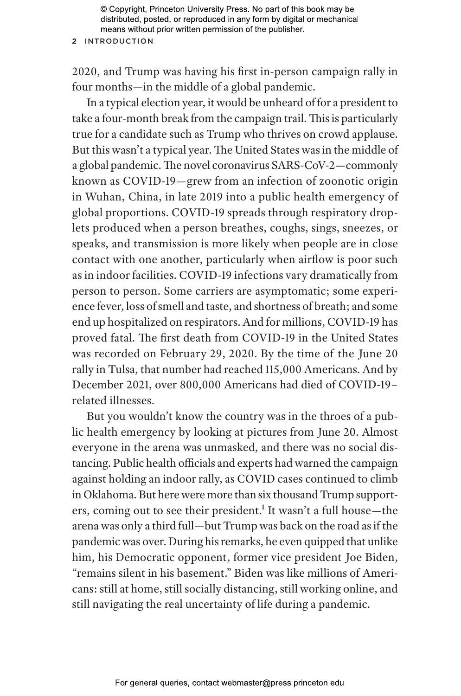#### **2** Introduction

2020, and Trump was having his first in-person campaign rally in four months—in the middle of a global pandemic.

In a typical election year, it would be unheard of for a president to take a four-month break from the campaign trail. This is particularly true for a candidate such as Trump who thrives on crowd applause. But this wasn't a typical year. The United States was in the middle of a global pandemic. The novel coronavirus SARS-CoV-2—commonly known as COVID-19—grew from an infection of zoonotic origin in Wuhan, China, in late 2019 into a public health emergency of global proportions. COVID-19 spreads through respiratory droplets produced when a person breathes, coughs, sings, sneezes, or speaks, and transmission is more likely when people are in close contact with one another, particularly when airflow is poor such as in indoor facilities. COVID-19 infections vary dramatically from person to person. Some carriers are asymptomatic; some experience fever, loss of smell and taste, and shortness of breath; and some end up hospitalized on respirators. And for millions, COVID-19 has proved fatal. The first death from COVID-19 in the United States was recorded on February 29, 2020. By the time of the June 20 rally in Tulsa, that number had reached 115,000 Americans. And by December 2021, over 800,000 Americans had died of COVID-19– related illnesses.

But you wouldn't know the country was in the throes of a public health emergency by looking at pictures from June 20. Almost everyone in the arena was unmasked, and there was no social distancing. Public health officials and experts had warned the campaign against holding an indoor rally, as COVID cases continued to climb in Oklahoma. But here were more than six thousand Trump supporters, coming out to see their president.<sup>1</sup> It wasn't a full house—the arena was only a third full—but Trump was back on the road as if the pandemic was over. During his remarks, he even quipped that unlike him, his Democratic opponent, former vice president Joe Biden, "remains silent in his basement." Biden was like millions of Americans: still at home, still socially distancing, still working online, and still navigating the real uncertainty of life during a pandemic.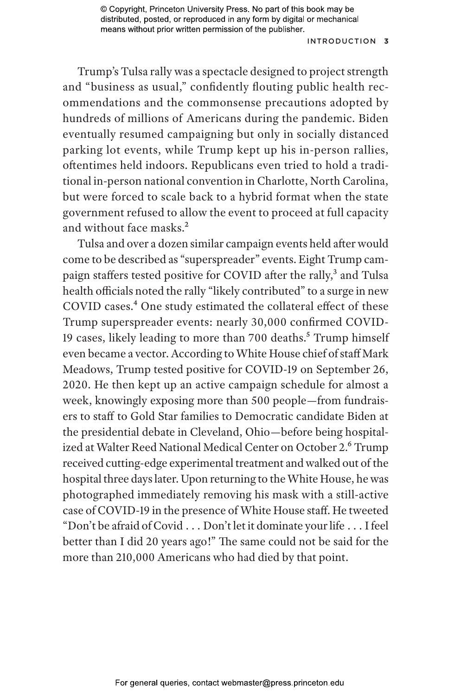# Introduction **3**

Trump's Tulsa rally was a spectacle designed to project strength and "business as usual," confidently flouting public health recommendations and the commonsense precautions adopted by hundreds of millions of Americans during the pandemic. Biden eventually resumed campaigning but only in socially distanced parking lot events, while Trump kept up his in-person rallies, oftentimes held indoors. Republicans even tried to hold a traditional in-person national convention in Charlotte, North Carolina, but were forced to scale back to a hybrid format when the state government refused to allow the event to proceed at full capacity and without face masks.<sup>2</sup>

Tulsa and over a dozen similar campaign events held after would come to be described as "superspreader" events. Eight Trump campaign staffers tested positive for COVID after the rally,<sup>3</sup> and Tulsa health officials noted the rally "likely contributed" to a surge in new COVID cases.4 One study estimated the collateral effect of these Trump superspreader events: nearly 30,000 confirmed COVID-19 cases, likely leading to more than 700 deaths.<sup>5</sup> Trump himself even became a vector. According to White House chief of staff Mark Meadows, Trump tested positive for COVID-19 on September 26, 2020. He then kept up an active campaign schedule for almost a week, knowingly exposing more than 500 people—from fundraisers to staff to Gold Star families to Democratic candidate Biden at the presidential debate in Cleveland, Ohio—before being hospitalized at Walter Reed National Medical Center on October 2.<sup>6</sup> Trump received cutting-edge experimental treatment and walked out of the hospital three days later. Upon returning to the White House, he was photographed immediately removing his mask with a still-active case of COVID-19 in the presence of White House staff. He tweeted "Don't be afraid of Covid . . . Don 't let it dominate your life . . . I feel better than I did 20 years ago!" The same could not be said for the more than 210,000 Americans who had died by that point.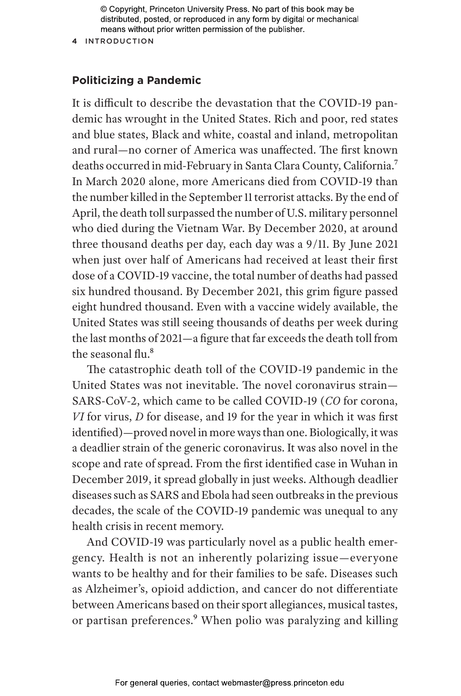**4** Introduction

# **Politicizing a Pandemic**

It is difficult to describe the devastation that the COVID-19 pandemic has wrought in the United States. Rich and poor, red states and blue states, Black and white, coastal and inland, metropolitan and rural—no corner of America was unaffected. The first known deaths occurred in mid-February in Santa Clara County, California.<sup>7</sup> In March 2020 alone, more Americans died from COVID-19 than the number killed in the September 11 terrorist attacks. By the end of April, the death toll surpassed the number of U.S. military personnel who died during the Vietnam War. By December 2020, at around three thousand deaths per day, each day was a 9/11. By June 2021 when just over half of Americans had received at least their first dose of a COVID-19 vaccine, the total number of deaths had passed six hundred thousand. By December 2021, this grim figure passed eight hundred thousand. Even with a vaccine widely available, the United States was still seeing thousands of deaths per week during the last months of 2021—a figure that far exceeds the death toll from the seasonal flu.<sup>8</sup>

The catastrophic death toll of the COVID-19 pandemic in the United States was not inevitable. The novel coronavirus strain— SARS-CoV-2, which came to be called COVID-19 (*CO* for corona, *VI* for virus, *D* for disease, and 19 for the year in which it was first identified)—proved novel in more ways than one. Biologically, it was a deadlier strain of the generic coronavirus. It was also novel in the scope and rate of spread. From the first identified case in Wuhan in December 2019, it spread globally in just weeks. Although deadlier diseases such as SARS and Ebola had seen outbreaks in the previous decades, the scale of the COVID-19 pandemic was unequal to any health crisis in recent memory.

And COVID-19 was particularly novel as a public health emergency. Health is not an inherently polarizing issue—everyone wants to be healthy and for their families to be safe. Diseases such as Alzheimer's, opioid addiction, and cancer do not differentiate between Americans based on their sport allegiances, musical tastes, or partisan preferences.<sup>9</sup> When polio was paralyzing and killing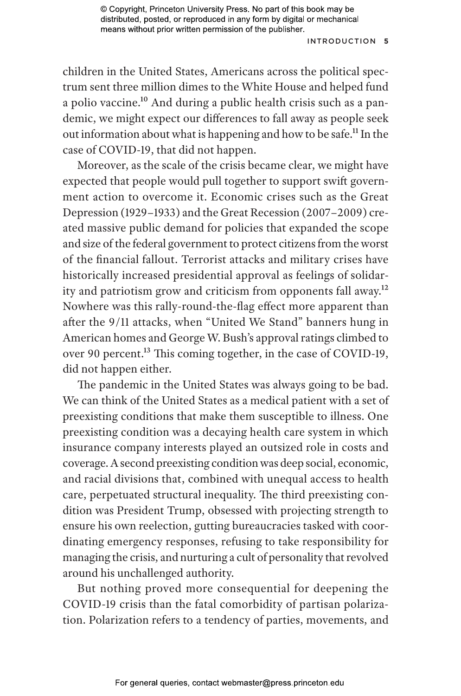Introduction **5**

children in the United States, Americans across the political spectrum sent three million dimes to the White House and helped fund a polio vaccine.<sup>10</sup> And during a public health crisis such as a pandemic, we might expect our differences to fall away as people seek out information about what is happening and how to be safe.11 In the case of COVID-19, that did not happen.

Moreover, as the scale of the crisis became clear, we might have expected that people would pull together to support swift government action to overcome it. Economic crises such as the Great Depression (1929–1933) and the Great Recession (2007–2009) created massive public demand for policies that expanded the scope and size of the federal government to protect citizens from the worst of the financial fallout. Terrorist attacks and military crises have historically increased presidential approval as feelings of solidarity and patriotism grow and criticism from opponents fall away.12 Nowhere was this rally-round-the-flag effect more apparent than after the 9/11 attacks, when "United We Stand" banners hung in American homes and George W. Bush's approval ratings climbed to over 90 percent.13 This coming together, in the case of COVID-19, did not happen either.

The pandemic in the United States was always going to be bad. We can think of the United States as a medical patient with a set of preexisting conditions that make them susceptible to illness. One preexisting condition was a decaying health care system in which insurance company interests played an outsized role in costs and coverage. A second preexisting condition was deep social, economic, and racial divisions that, combined with unequal access to health care, perpetuated structural inequality. The third preexisting condition was President Trump, obsessed with projecting strength to ensure his own reelection, gutting bureaucracies tasked with coordinating emergency responses, refusing to take responsibility for managing the crisis, and nurturing a cult of personality that revolved around his unchallenged authority.

But nothing proved more consequential for deepening the COVID-19 crisis than the fatal comorbidity of partisan polarization. Polarization refers to a tendency of parties, movements, and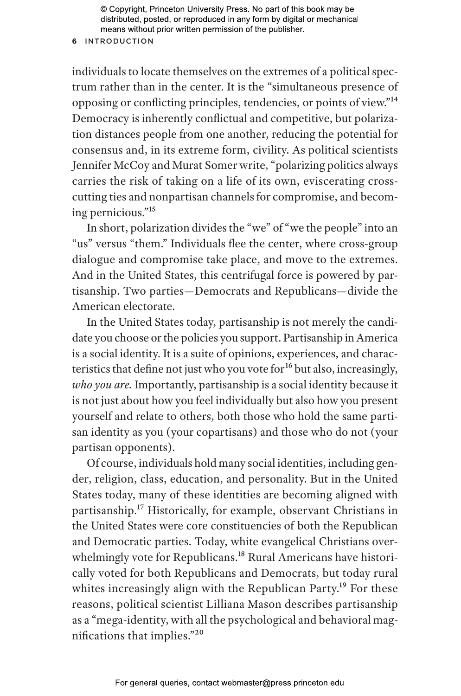### **6** Introduction

individuals to locate themselves on the extremes of a political spectrum rather than in the center. It is the "simultaneous presence of opposing or conflicting principles, tendencies, or points of view."14 Democracy is inherently conflictual and competitive, but polarization distances people from one another, reducing the potential for consensus and, in its extreme form, civility. As political scientists Jennifer McCoy and Murat Somer write, "polarizing politics always carries the risk of taking on a life of its own, eviscerating crosscutting ties and nonpartisan channels for compromise, and becoming pernicious."15

In short, polarization divides the "we" of "we the people" into an "us" versus "them." Individuals flee the center, where cross-group dialogue and compromise take place, and move to the extremes. And in the United States, this centrifugal force is powered by partisanship. Two parties—Democrats and Republicans—divide the American electorate.

In the United States today, partisanship is not merely the candidate you choose or the policies you support. Partisanship in America is a social identity. It is a suite of opinions, experiences, and characteristics that define not just who you vote for $^{16}$  but also, increasingly, *who you are.* Importantly, partisanship is a social identity because it is not just about how you feel individually but also how you present yourself and relate to others, both those who hold the same partisan identity as you (your copartisans) and those who do not (your partisan opponents).

Of course, individuals hold many social identities, including gender, religion, class, education, and personality. But in the United States today, many of these identities are becoming aligned with partisanship.<sup>17</sup> Historically, for example, observant Christians in the United States were core constituencies of both the Republican and Democratic parties. Today, white evangelical Christians overwhelmingly vote for Republicans.<sup>18</sup> Rural Americans have historically voted for both Republicans and Democrats, but today rural whites increasingly align with the Republican Party.<sup>19</sup> For these reasons, political scientist Lilliana Mason describes partisanship as a "mega-identity, with all the psychological and behavioral magnifications that implies."20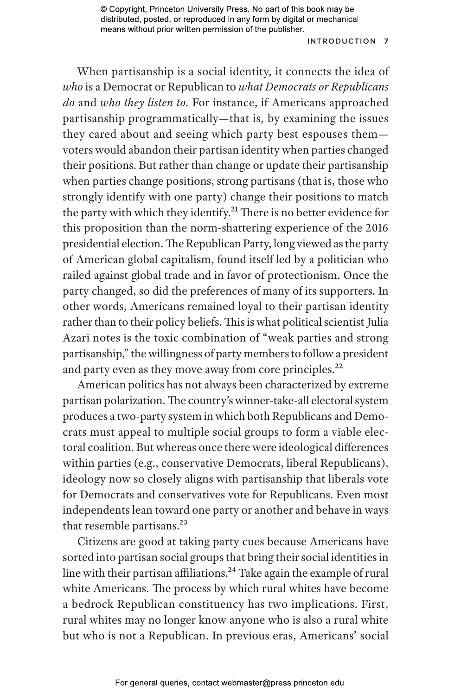# Introduction **7**

When partisanship is a social identity, it connects the idea of *who* is a Democrat or Republican to *what Democrats or Republicans do* and *who they listen to.* For instance, if Americans approached partisanship programmatically—that is, by examining the issues they cared about and seeing which party best espouses them voters would abandon their partisan identity when parties changed their positions. But rather than change or update their partisanship when parties change positions, strong partisans (that is, those who strongly identify with one party) change their positions to match the party with which they identify.<sup>21</sup> There is no better evidence for this proposition than the norm-shattering experience of the 2016 presidential election. The Republican Party, long viewed as the party of American global capitalism, found itself led by a politician who railed against global trade and in favor of protectionism. Once the party changed, so did the preferences of many of its supporters. In other words, Americans remained loyal to their partisan identity rather than to their policy beliefs. This is what political scientist Julia Azari notes is the toxic combination of "weak parties and strong partisanship," the willingness of party members to follow a president and party even as they move away from core principles.<sup>22</sup>

American politics has not always been characterized by extreme partisan polarization. The country's winner-take-all electoral system produces a two-party system in which both Republicans and Democrats must appeal to multiple social groups to form a viable electoral coalition. But whereas once there were ideological differences within parties (e.g., conservative Democrats, liberal Republicans), ideology now so closely aligns with partisanship that liberals vote for Democrats and conservatives vote for Republicans. Even most independents lean toward one party or another and behave in ways that resemble partisans.<sup>23</sup>

Citizens are good at taking party cues because Americans have sorted into partisan social groups that bring their social identities in line with their partisan affiliations.<sup>24</sup> Take again the example of rural white Americans. The process by which rural whites have become a bedrock Republican constituency has two implications. First, rural whites may no longer know anyone who is also a rural white but who is not a Republican. In previous eras, Americans' social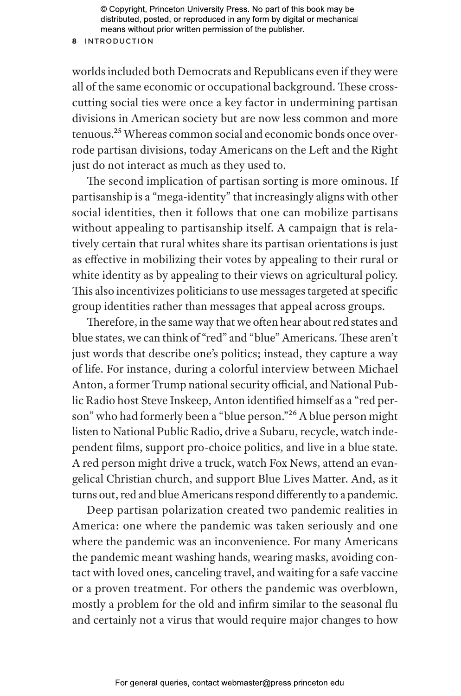### **8** Introduction

worlds included both Democrats and Republicans even if they were all of the same economic or occupational background. These crosscutting social ties were once a key factor in undermining partisan divisions in American society but are now less common and more tenuous.25 Whereas common social and economic bonds once overrode partisan divisions, today Americans on the Left and the Right just do not interact as much as they used to.

The second implication of partisan sorting is more ominous. If partisanship is a "mega-identity" that increasingly aligns with other social identities, then it follows that one can mobilize partisans without appealing to partisanship itself. A campaign that is relatively certain that rural whites share its partisan orientations is just as effective in mobilizing their votes by appealing to their rural or white identity as by appealing to their views on agricultural policy. This also incentivizes politicians to use messages targeted at specific group identities rather than messages that appeal across groups.

Therefore, in the same way that we often hear about red states and blue states, we can think of "red" and "blue" Americans. These aren't just words that describe one's politics; instead, they capture a way of life. For instance, during a colorful interview between Michael Anton, a former Trump national security official, and National Public Radio host Steve Inskeep, Anton identified himself as a "red person" who had formerly been a "blue person."26 A blue person might listen to National Public Radio, drive a Subaru, recycle, watch independent films, support pro-choice politics, and live in a blue state. A red person might drive a truck, watch Fox News, attend an evangelical Christian church, and support Blue Lives Matter. And, as it turns out, red and blue Americans respond differently to a pandemic.

Deep partisan polarization created two pandemic realities in America: one where the pandemic was taken seriously and one where the pandemic was an inconvenience. For many Americans the pandemic meant washing hands, wearing masks, avoiding contact with loved ones, canceling travel, and waiting for a safe vaccine or a proven treatment. For others the pandemic was overblown, mostly a problem for the old and infirm similar to the seasonal flu and certainly not a virus that would require major changes to how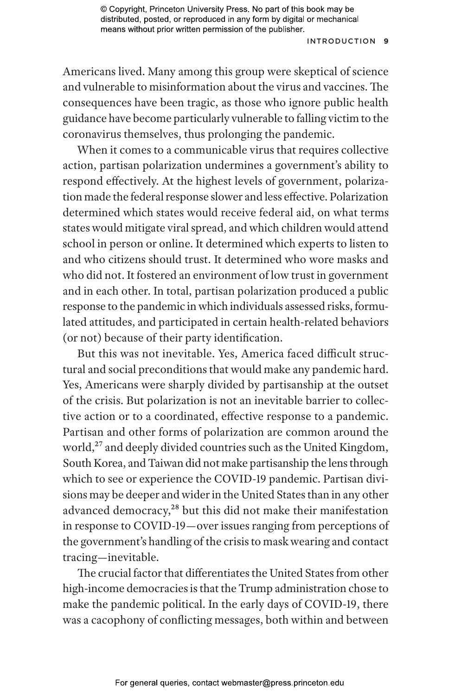# Introduction **9**

Americans lived. Many among this group were skeptical of science and vulnerable to misinformation about the virus and vaccines. The consequences have been tragic, as those who ignore public health guidance have become particularly vulnerable to falling victim to the coronavirus themselves, thus prolonging the pandemic.

When it comes to a communicable virus that requires collective action, partisan polarization undermines a government's ability to respond effectively. At the highest levels of government, polarization made the federal response slower and less effective. Polarization determined which states would receive federal aid, on what terms states would mitigate viral spread, and which children would attend school in person or online. It determined which experts to listen to and who citizens should trust. It determined who wore masks and who did not. It fostered an environment of low trust in government and in each other. In total, partisan polarization produced a public response to the pandemic in which individuals assessed risks, formulated attitudes, and participated in certain health-related behaviors (or not) because of their party identification.

But this was not inevitable. Yes, America faced difficult structural and social preconditions that would make any pandemic hard. Yes, Americans were sharply divided by partisanship at the outset of the crisis. But polarization is not an inevitable barrier to collective action or to a coordinated, effective response to a pandemic. Partisan and other forms of polarization are common around the world,<sup>27</sup> and deeply divided countries such as the United Kingdom, South Korea, and Taiwan did not make partisanship the lens through which to see or experience the COVID-19 pandemic. Partisan divisions may be deeper and wider in the United States than in any other advanced democracy,<sup>28</sup> but this did not make their manifestation in response to COVID-19—over issues ranging from perceptions of the government's handling of the crisis to mask wearing and contact tracing—inevitable.

The crucial factor that differentiates the United States from other high-income democracies is that the Trump administration chose to make the pandemic political. In the early days of COVID-19, there was a cacophony of conflicting messages, both within and between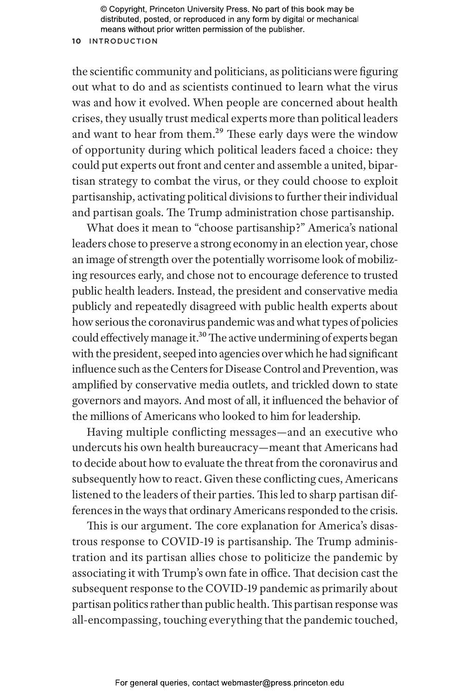# **10** Introduction

the scientific community and politicians, as politicians were figuring out what to do and as scientists continued to learn what the virus was and how it evolved. When people are concerned about health crises, they usually trust medical experts more than political leaders and want to hear from them.<sup>29</sup> These early days were the window of opportunity during which political leaders faced a choice: they could put experts out front and center and assemble a united, bipartisan strategy to combat the virus, or they could choose to exploit partisanship, activating political divisions to further their individual and partisan goals. The Trump administration chose partisanship.

What does it mean to "choose partisanship?" America's national leaders chose to preserve a strong economy in an election year, chose an image of strength over the potentially worrisome look of mobilizing resources early, and chose not to encourage deference to trusted public health leaders. Instead, the president and conservative media publicly and repeatedly disagreed with public health experts about how serious the coronavirus pandemic was and what types of policies could effectively manage it.<sup>30</sup> The active undermining of experts began with the president, seeped into agencies over which he had significant influence such as the Centers for Disease Control and Prevention, was amplified by conservative media outlets, and trickled down to state governors and mayors. And most of all, it influenced the behavior of the millions of Americans who looked to him for leadership.

Having multiple conflicting messages—and an executive who undercuts his own health bureaucracy—meant that Americans had to decide about how to evaluate the threat from the coronavirus and subsequently how to react. Given these conflicting cues, Americans listened to the leaders of their parties. This led to sharp partisan differences in the ways that ordinary Americans responded to the crisis.

This is our argument. The core explanation for America's disastrous response to COVID-19 is partisanship. The Trump administration and its partisan allies chose to politicize the pandemic by associating it with Trump's own fate in office. That decision cast the subsequent response to the COVID-19 pandemic as primarily about partisan politics rather than public health. This partisan response was all-encompassing, touching everything that the pandemic touched,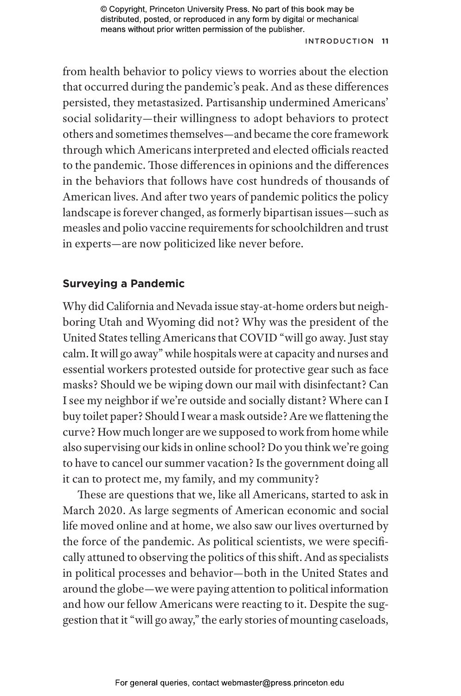### Introduction **11**

from health behavior to policy views to worries about the election that occurred during the pandemic's peak. And as these differences persisted, they metastasized. Partisanship undermined Americans' social solidarity—their willingness to adopt behaviors to protect others and sometimes themselves—and became the core framework through which Americans interpreted and elected officials reacted to the pandemic. Those differences in opinions and the differences in the behaviors that follows have cost hundreds of thousands of American lives. And after two years of pandemic politics the policy landscape is forever changed, as formerly bipartisan issues—such as measles and polio vaccine requirements for schoolchildren and trust in experts—are now politicized like never before.

# **Surveying a Pandemic**

Why did California and Nevada issue stay-at-home orders but neighboring Utah and Wyoming did not? Why was the president of the United States telling Americans that COVID "will go away. Just stay calm. It will go away" while hospitals were at capacity and nurses and essential workers protested outside for protective gear such as face masks? Should we be wiping down our mail with disinfectant? Can I see my neighbor if we're outside and socially distant? Where can I buy toilet paper? Should I wear a mask outside? Are we flattening the curve? How much longer are we supposed to work from home while also supervising our kids in online school? Do you think we're going to have to cancel our summer vacation? Is the government doing all it can to protect me, my family, and my community?

These are questions that we, like all Americans, started to ask in March 2020. As large segments of American economic and social life moved online and at home, we also saw our lives overturned by the force of the pandemic. As political scientists, we were specifically attuned to observing the politics of this shift. And as specialists in political processes and behavior—both in the United States and around the globe—we were paying attention to political information and how our fellow Americans were reacting to it. Despite the suggestion that it "will go away," the early stories of mounting caseloads,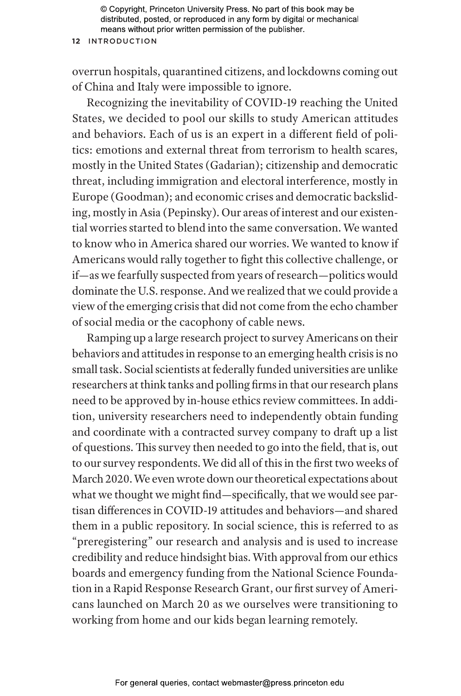# **12** Introduction

overrun hospitals, quarantined citizens, and lockdowns coming out of China and Italy were impossible to ignore.

Recognizing the inevitability of COVID-19 reaching the United States, we decided to pool our skills to study American attitudes and behaviors. Each of us is an expert in a different field of politics: emotions and external threat from terrorism to health scares, mostly in the United States (Gadarian); citizenship and democratic threat, including immigration and electoral interference, mostly in Europe (Goodman); and economic crises and democratic backsliding, mostly in Asia (Pepinsky). Our areas of interest and our existential worries started to blend into the same conversation. We wanted to know who in America shared our worries. We wanted to know if Americans would rally together to fight this collective challenge, or if—as we fearfully suspected from years of research—politics would dominate the U.S. response. And we realized that we could provide a view of the emerging crisis that did not come from the echo chamber of social media or the cacophony of cable news.

Ramping up a large research project to survey Americans on their behaviors and attitudes in response to an emerging health crisis is no small task. Social scientists at federally funded universities are unlike researchers at think tanks and polling firms in that our research plans need to be approved by in-house ethics review committees. In addition, university researchers need to independently obtain funding and coordinate with a contracted survey company to draft up a list of questions. This survey then needed to go into the field, that is, out to our survey respondents. We did all of this in the first two weeks of March 2020. We even wrote down our theoretical expectations about what we thought we might find—specifically, that we would see partisan differences in COVID-19 attitudes and behaviors—and shared them in a public repository. In social science, this is referred to as "preregistering" our research and analysis and is used to increase credibility and reduce hindsight bias. With approval from our ethics boards and emergency funding from the National Science Foundation in a Rapid Response Research Grant, our first survey of Americans launched on March 20 as we ourselves were transitioning to working from home and our kids began learning remotely.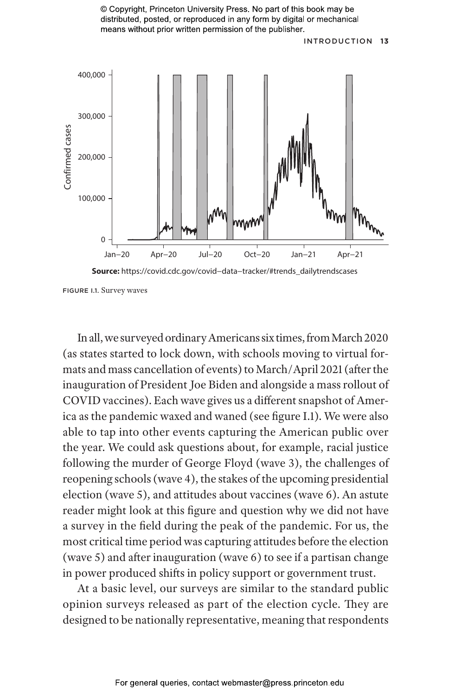

FIGURE I.1. Survey waves

In all, we surveyed ordinary Americans six times, from March 2020 (as states started to lock down, with schools moving to virtual formats and mass cancellation of events) to March/April 2021 (after the inauguration of President Joe Biden and alongside a mass rollout of COVID vaccines). Each wave gives us a different snapshot of America as the pandemic waxed and waned (see figure I.1). We were also able to tap into other events capturing the American public over the year. We could ask questions about, for example, racial justice following the murder of George Floyd (wave 3), the challenges of reopening schools (wave 4), the stakes of the upcoming presidential election (wave 5), and attitudes about vaccines (wave 6). An astute reader might look at this figure and question why we did not have a survey in the field during the peak of the pandemic. For us, the most critical time period was capturing attitudes before the election (wave 5) and after inauguration (wave 6) to see if a partisan change in power produced shifts in policy support or government trust.

At a basic level, our surveys are similar to the standard public opinion surveys released as part of the election cycle. They are designed to be nationally representative, meaning that respondents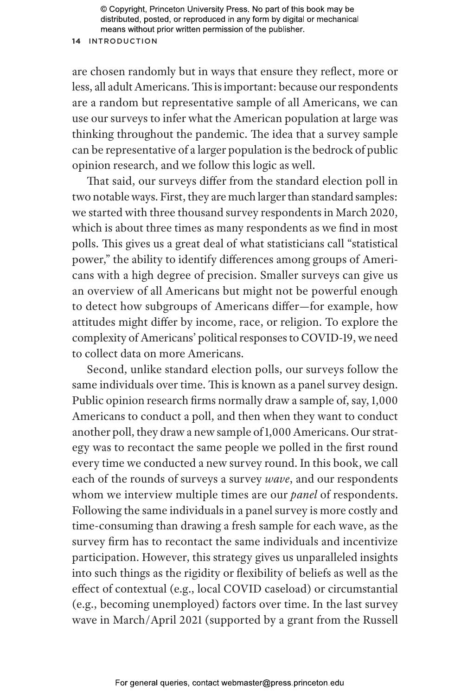# **14** Introduction

are chosen randomly but in ways that ensure they reflect, more or less, all adult Americans. This is important: because our respondents are a random but representative sample of all Americans, we can use our surveys to infer what the American population at large was thinking throughout the pandemic. The idea that a survey sample can be representative of a larger population is the bedrock of public opinion research, and we follow this logic as well.

That said, our surveys differ from the standard election poll in two notable ways. First, they are much larger than standard samples: we started with three thousand survey respondents in March 2020, which is about three times as many respondents as we find in most polls. This gives us a great deal of what statisticians call "statistical power," the ability to identify differences among groups of Americans with a high degree of precision. Smaller surveys can give us an overview of all Americans but might not be powerful enough to detect how subgroups of Americans differ—for example, how attitudes might differ by income, race, or religion. To explore the complexity of Americans' political responses to COVID-19, we need to collect data on more Americans.

Second, unlike standard election polls, our surveys follow the same individuals over time. This is known as a panel survey design. Public opinion research firms normally draw a sample of, say, 1,000 Americans to conduct a poll, and then when they want to conduct another poll, they draw a new sample of 1,000 Americans. Our strategy was to recontact the same people we polled in the first round every time we conducted a new survey round. In this book, we call each of the rounds of surveys a survey *wave*, and our respondents whom we interview multiple times are our *panel* of respondents. Following the same individuals in a panel survey is more costly and time-consuming than drawing a fresh sample for each wave, as the survey firm has to recontact the same individuals and incentivize participation. However, this strategy gives us unparalleled insights into such things as the rigidity or flexibility of beliefs as well as the effect of contextual (e.g., local COVID caseload) or circumstantial (e.g., becoming unemployed) factors over time. In the last survey wave in March/April 2021 (supported by a grant from the Russell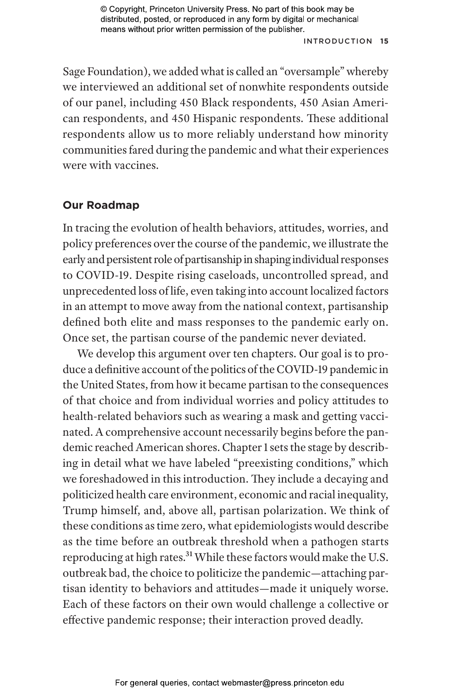# Introduction **15**

Sage Foundation), we added what is called an "oversample" whereby we interviewed an additional set of nonwhite respondents outside of our panel, including 450 Black respondents, 450 Asian American respondents, and 450 Hispanic respondents. These additional respondents allow us to more reliably understand how minority communities fared during the pandemic and what their experiences were with vaccines.

# **Our Roadmap**

In tracing the evolution of health behaviors, attitudes, worries, and policy preferences over the course of the pandemic, we illustrate the early and persistent role of partisanship in shaping individual responses to COVID-19. Despite rising caseloads, uncontrolled spread, and unprecedented loss of life, even taking into account localized factors in an attempt to move away from the national context, partisanship defined both elite and mass responses to the pandemic early on. Once set, the partisan course of the pandemic never deviated.

We develop this argument over ten chapters. Our goal is to produce a definitive account of the politics of the COVID-19 pandemic in the United States, from how it became partisan to the consequences of that choice and from individual worries and policy attitudes to health-related behaviors such as wearing a mask and getting vaccinated. A comprehensive account necessarily begins before the pandemic reached American shores. Chapter 1 sets the stage by describing in detail what we have labeled "preexisting conditions," which we foreshadowed in this introduction. They include a decaying and politicized health care environment, economic and racial inequality, Trump himself, and, above all, partisan polarization. We think of these conditions as time zero, what epidemiologists would describe as the time before an outbreak threshold when a pathogen starts reproducing at high rates.<sup>31</sup> While these factors would make the U.S. outbreak bad, the choice to politicize the pandemic—attaching partisan identity to behaviors and attitudes—made it uniquely worse. Each of these factors on their own would challenge a collective or effective pandemic response; their interaction proved deadly.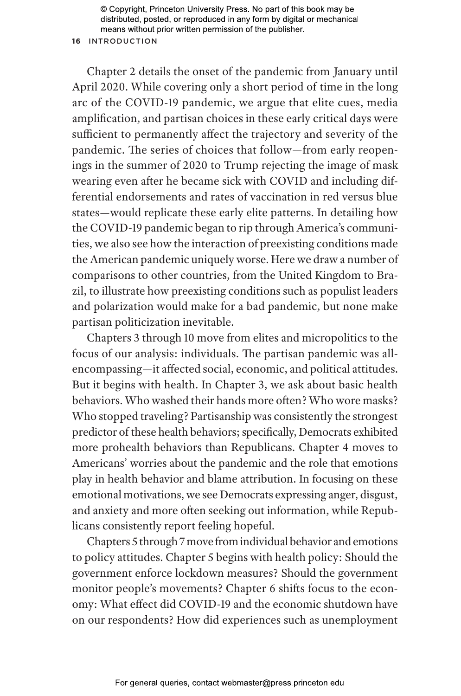# **16** Introduction

Chapter 2 details the onset of the pandemic from January until April 2020. While covering only a short period of time in the long arc of the COVID-19 pandemic, we argue that elite cues, media amplification, and partisan choices in these early critical days were sufficient to permanently affect the trajectory and severity of the pandemic. The series of choices that follow—from early reopenings in the summer of 2020 to Trump rejecting the image of mask wearing even after he became sick with COVID and including differential endorsements and rates of vaccination in red versus blue states—would replicate these early elite patterns. In detailing how the COVID-19 pandemic began to rip through America's communities, we also see how the interaction of preexisting conditions made the American pandemic uniquely worse. Here we draw a number of comparisons to other countries, from the United Kingdom to Brazil, to illustrate how preexisting conditions such as populist leaders and polarization would make for a bad pandemic, but none make partisan politicization inevitable.

Chapters 3 through 10 move from elites and micropolitics to the focus of our analysis: individuals. The partisan pandemic was allencompassing—it affected social, economic, and political attitudes. But it begins with health. In Chapter 3, we ask about basic health behaviors. Who washed their hands more often? Who wore masks? Who stopped traveling? Partisanship was consistently the strongest predictor of these health behaviors; specifically, Democrats exhibited more prohealth behaviors than Republicans. Chapter 4 moves to Americans' worries about the pandemic and the role that emotions play in health behavior and blame attribution. In focusing on these emotional motivations, we see Democrats expressing anger, disgust, and anxiety and more often seeking out information, while Republicans consistently report feeling hopeful.

Chapters 5 through 7 move from individual behavior and emotions to policy attitudes. Chapter 5 begins with health policy: Should the government enforce lockdown measures? Should the government monitor people's movements? Chapter 6 shifts focus to the economy: What effect did COVID-19 and the economic shutdown have on our respondents? How did experiences such as unemployment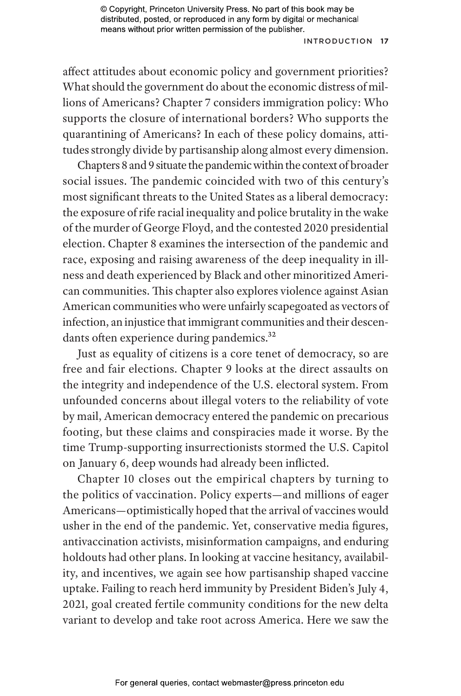### Introduction **17**

affect attitudes about economic policy and government priorities? What should the government do about the economic distress of millions of Americans? Chapter 7 considers immigration policy: Who supports the closure of international borders? Who supports the quarantining of Americans? In each of these policy domains, attitudes strongly divide by partisanship along almost every dimension.

Chapters 8 and 9 situate the pandemic within the context of broader social issues. The pandemic coincided with two of this century's most significant threats to the United States as a liberal democracy: the exposure of rife racial inequality and police brutality in the wake of the murder of George Floyd, and the contested 2020 presidential election. Chapter 8 examines the intersection of the pandemic and race, exposing and raising awareness of the deep inequality in illness and death experienced by Black and other minoritized American communities. This chapter also explores violence against Asian American communities who were unfairly scapegoated as vectors of infection, an injustice that immigrant communities and their descendants often experience during pandemics.<sup>32</sup>

Just as equality of citizens is a core tenet of democracy, so are free and fair elections. Chapter 9 looks at the direct assaults on the integrity and independence of the U.S. electoral system. From unfounded concerns about illegal voters to the reliability of vote by mail, American democracy entered the pandemic on precarious footing, but these claims and conspiracies made it worse. By the time Trump-supporting insurrectionists stormed the U.S. Capitol on January 6, deep wounds had already been inflicted.

Chapter 10 closes out the empirical chapters by turning to the politics of vaccination. Policy experts—and millions of eager Americans—optimistically hoped that the arrival of vaccines would usher in the end of the pandemic. Yet, conservative media figures, antivaccination activists, misinformation campaigns, and enduring holdouts had other plans. In looking at vaccine hesitancy, availability, and incentives, we again see how partisanship shaped vaccine uptake. Failing to reach herd immunity by President Biden's July 4, 2021, goal created fertile community conditions for the new delta variant to develop and take root across America. Here we saw the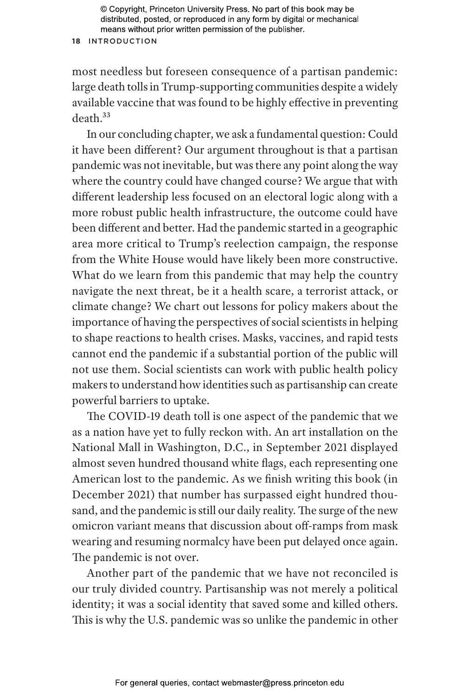### **18** Introduction

most needless but foreseen consequence of a partisan pandemic: large death tolls in Trump-supporting communities despite a widely available vaccine that was found to be highly effective in preventing death.33

In our concluding chapter, we ask a fundamental question: Could it have been different? Our argument throughout is that a partisan pandemic was not inevitable, but was there any point along the way where the country could have changed course? We argue that with different leadership less focused on an electoral logic along with a more robust public health infrastructure, the outcome could have been different and better. Had the pandemic started in a geographic area more critical to Trump's reelection campaign, the response from the White House would have likely been more constructive. What do we learn from this pandemic that may help the country navigate the next threat, be it a health scare, a terrorist attack, or climate change? We chart out lessons for policy makers about the importance of having the perspectives of social scientists in helping to shape reactions to health crises. Masks, vaccines, and rapid tests cannot end the pandemic if a substantial portion of the public will not use them. Social scientists can work with public health policy makers to understand how identities such as partisanship can create powerful barriers to uptake.

The COVID-19 death toll is one aspect of the pandemic that we as a nation have yet to fully reckon with. An art installation on the National Mall in Washington, D.C., in September 2021 displayed almost seven hundred thousand white flags, each representing one American lost to the pandemic. As we finish writing this book (in December 2021) that number has surpassed eight hundred thousand, and the pandemic is still our daily reality. The surge of the new omicron variant means that discussion about off-ramps from mask wearing and resuming normalcy have been put delayed once again. The pandemic is not over.

Another part of the pandemic that we have not reconciled is our truly divided country. Partisanship was not merely a political identity; it was a social identity that saved some and killed others. This is why the U.S. pandemic was so unlike the pandemic in other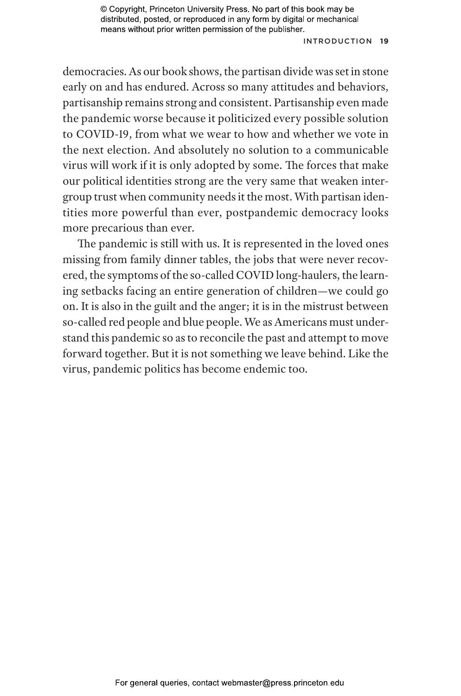#### Introduction **19**

democracies. As our book shows, the partisan divide was set in stone early on and has endured. Across so many attitudes and behaviors, partisanship remains strong and consistent. Partisanship even made the pandemic worse because it politicized every possible solution to COVID-19, from what we wear to how and whether we vote in the next election. And absolutely no solution to a communicable virus will work if it is only adopted by some. The forces that make our political identities strong are the very same that weaken intergroup trust when community needs it the most. With partisan identities more powerful than ever, postpandemic democracy looks more precarious than ever.

The pandemic is still with us. It is represented in the loved ones missing from family dinner tables, the jobs that were never recovered, the symptoms of the so-called COVID long-haulers, the learning setbacks facing an entire generation of children—we could go on. It is also in the guilt and the anger; it is in the mistrust between so-called red people and blue people. We as Americans must understand this pandemic so as to reconcile the past and attempt to move forward together. But it is not something we leave behind. Like the virus, pandemic politics has become endemic too.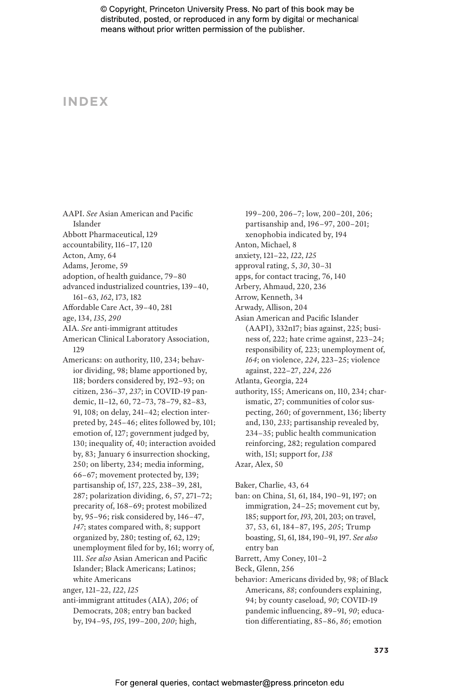# **INDEX**

AAPI. *See* Asian American and Pacific Islander Abbott Pharmaceutical, 129 accountability, 116–17, 120 Acton, Amy, 64 Adams, Jerome, 59 adoption, of health guidance, 79–80 advanced industrialized countries, 139–40, 161–63, *162*, 173, 182 Affordable Care Act, 39–40, 281 age, 134, *135*, *290* AIA. *See* anti-immigrant attitudes American Clinical Laboratory Association, 129 Americans: on authority, 110, 234; behavior dividing, 98; blame apportioned by, 118; borders considered by, 192–93; on citizen, 236–37, *237*; in COVID-19 pandemic, 11–12, 60, 72–73, 78–79, 82–83, 91, 108; on delay, 241–42; election interpreted by, 245–46; elites followed by, 101; emotion of, 127; government judged by, 130; inequality of, 40; interaction avoided by, 83; January 6 insurrection shocking, 250; on liberty, 234; media informing, 66–67; movement protected by, 139; partisanship of, 157, 225, 238–39, 281, 287; polarization dividing, 6, 57, 271–72; precarity of, 168–69; protest mobilized by, 95–96; risk considered by, 146–47, *147*; states compared with, 8; support organized by, 280; testing of, 62, 129; unemployment filed for by, 161; worry of, 111. *See also* Asian American and Pacific Islander; Black Americans; Latinos; white Americans anger, 121–22, *122*, *125* anti-immigrant attitudes (AIA), *206*; of Democrats, 208; entry ban backed

by, 194–95, *195*, 199–200, *200*; high,

partisanship and, 196–97, 200–201;

199–200, 206–7; low, 200–201, 206;

- xenophobia indicated by, 194
- Anton, Michael, 8
- anxiety, 121–22, *122*, *125*
- approval rating, 5, *30*, 30–31
- apps, for contact tracing, 76, 140
- Arbery, Ahmaud, 220, 236
- Arrow, Kenneth, 34
- Arwady, Allison, 204
- Asian American and Pacific Islander (AAPI), 332n17; bias against, 225; business of, 222; hate crime against, 223–24; responsibility of, 223; unemployment of, *164*; on violence, *224*, 223–25; violence against, 222–27, *224*, *226*
- Atlanta, Georgia, 224
- authority, 155; Americans on, 110, 234; charismatic, 27; communities of color suspecting, 260; of government, 136; liberty and, 130, *233*; partisanship revealed by, 234–35; public health communication reinforcing, 282; regulation compared with, 151; support for, *138* Azar, Alex, 50

Baker, Charlie, 43, 64

- ban: on China, 51, 61, 184, 190–91, 197; on immigration, 24–25; movement cut by, 185; support for, *193*, 201, 203; on travel, 37, 53, 61, 184–87, 195, *205*; Trump boasting, 51, 61, 184, 190–91, 197. *See also* entry ban
- Barrett, Amy Coney, 101–2

Beck, Glenn, 256

behavior: Americans divided by, 98; of Black Americans, *88*; confounders explaining, 94; by county caseload, *90*; COVID-19 pandemic influencing, 89–91, *90*; education differentiating, 85–86, *86*; emotion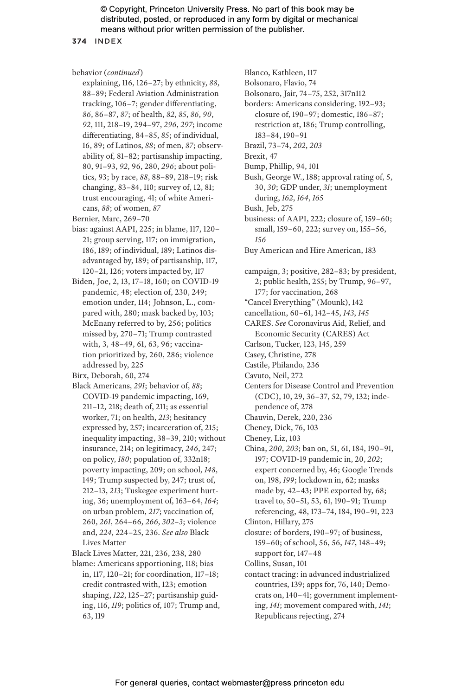**374** INDEX

#### behavior (*continued*)

- explaining, 116, 126–27; by ethnicity, *88*, 88–89; Federal Aviation Administration tracking, 106–7; gender differentiating, *86*, 86–87, *87*; of health, *82*, *85*, *86*, *90*, *92*, 111, 218–19, 294–97, *296*, *297*; income differentiating, 84–85, *85*; of individual, 16, 89; of Latinos, *88*; of men, *87*; observability of, 81–82; partisanship impacting, 80, 91–93, *92*, 96, 280, *296*; about politics, 93; by race, *88*, 88–89, 218–19; risk changing, 83–84, 110; survey of, 12, 81; trust encouraging, 41; of white Americans, *88*; of women, *87*
- Bernier, Marc, 269–70
- bias: against AAPI, 225; in blame, 117, 120– 21; group serving, 117; on immigration, 186, 189; of individual, 189; Latinos disadvantaged by, 189; of partisanship, 117, 120–21, 126; voters impacted by, 117
- Biden, Joe, 2, 13, 17–18, 160; on COVID-19 pandemic, 48; election of, 230, 249; emotion under, 114; Johnson, L., compared with, 280; mask backed by, 103; McEnany referred to by, 256; politics missed by, 270–71; Trump contrasted with, 3, 48–49, 61, 63, 96; vaccination prioritized by, 260, 286; violence addressed by, 225

Birx, Deborah, 60, 274

Black Americans, *291*; behavior of, *88*; COVID-19 pandemic impacting, 169, 211–12, 218; death of, 211; as essential worker, 71; on health, *213*; hesitancy expressed by, 257; incarceration of, 215; inequality impacting, 38–39, 210; without insurance, 214; on legitimacy, *246*, 247; on policy, *180*; population of, 332n18; poverty impacting, 209; on school, *148*, 149; Trump suspected by, 247; trust of, 212–13, *213*; Tuskegee experiment hurting, 36; unemployment of, 163–64, *164*; on urban problem, *217*; vaccination of, 260, *261*, 264–66, *266*, *302–3*; violence and, *224*, 224–25, 236. *See also* Black Lives Matter

Black Lives Matter, 221, 236, 238, 280

blame: Americans apportioning, 118; bias in, 117, 120–21; for coordination, 117–18; credit contrasted with, 123; emotion shaping, *122*, 125–27; partisanship guiding, 116, *119*; politics of, 107; Trump and, 63, 119

Blanco, Kathleen, 117

- Bolsonaro, Flavio, 74
- Bolsonaro, Jair, 74–75, 252, 317n112
- borders: Americans considering, 192–93; closure of, 190–97; domestic, 186–87; restriction at, 186; Trump controlling, 183–84, 190–91
- Brazil, 73–74, *202*, *203*
- Brexit, 47
- Bump, Phillip, 94, 101
- Bush, George W., 188; approval rating of, 5, 30, *30*; GDP under, *31*; unemployment during, *162*, *164*, *165*
- Bush, Jeb, 275
- business: of AAPI, 222; closure of, 159–60; small, 159–60, 222; survey on, 155–56, *156*

Buy American and Hire American, 183

campaign, 3; positive, 282–83; by president, 2; public health, 255; by Trump, 96–97, 177; for vaccination, 268 "Cancel Everything" (Mounk), 142 cancellation, 60–61, 142–45, *143*, *145* CARES. *See* Coronavirus Aid, Relief, and Economic Security (CARES) Act Carlson, Tucker, 123, 145, 259 Casey, Christine, 278 Castile, Philando, 236 Cavuto, Neil, 272 Centers for Disease Control and Prevention (CDC), 10, 29, 36–37, 52, 79, 132; independence of, 278 Chauvin, Derek, 220, 236 Cheney, Dick, 76, 103 Cheney, Liz, 103 China, *200*, *203*; ban on, 51, 61, 184, 190–91, 197; COVID-19 pandemic in, 20, *202*; expert concerned by, 46; Google Trends on, 198, *199*; lockdown in, 62; masks made by, 42–43; PPE exported by, 68; travel to, 50–51, 53, 61, 190–91; Trump referencing, 48, 173–74, 184, 190–91, 223 Clinton, Hillary, 275 closure: of borders, 190–97; of business, 159–60; of school, 56, 56, *147*, 148–49; support for, 147–48 Collins, Susan, 101 contact tracing: in advanced industrialized

countries, 139; apps for, 76, 140; Democrats on, 140–41; government implementing, *141*; movement compared with, *141*; Republicans rejecting, 274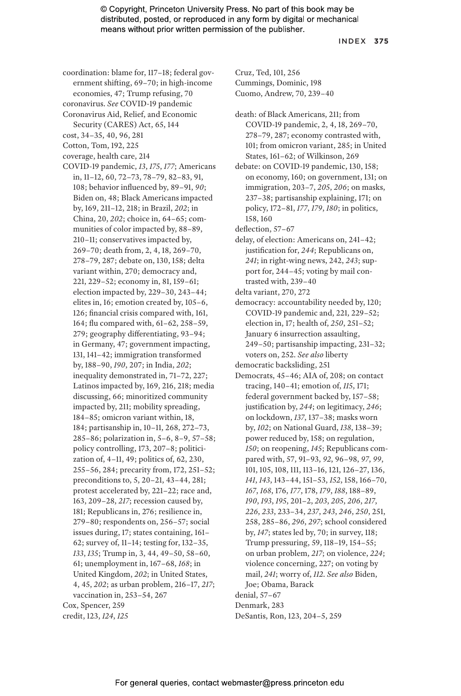### INDEX **375**

- coordination: blame for, 117–18; federal government shifting, 69–70; in high-income economies, 47; Trump refusing, 70
- coronavirus. *See* COVID-19 pandemic
- Coronavirus Aid, Relief, and Economic
- Security (CARES) Act, 65, 144 cost, 34–35, 40, 96, 281
- Cotton, Tom, 192, 225
- coverage, health care, 214
- COVID-19 pandemic, *13*, *175*, *177*; Americans in, 11–12, 60, 72–73, 78–79, 82–83, 91, 108; behavior influenced by, 89–91, *90*; Biden on, 48; Black Americans impacted by, 169, 211–12, 218; in Brazil, *202*; in China, 20, *202*; choice in, 64–65; communities of color impacted by, 88–89, 210–11; conservatives impacted by, 269–70; death from, 2, 4, 18, 269–70, 278–79, 287; debate on, 130, 158; delta variant within, 270; democracy and, 221, 229–52; economy in, 81, 159–61; election impacted by, 229–30, 243–44; elites in, 16; emotion created by, 105–6, 126; financial crisis compared with, 161, 164; flu compared with, 61–62, 258–59, 279; geography differentiating, 93–94; in Germany, 47; government impacting, 131, 141–42; immigration transformed by, 188–90, *190*, 207; in India, *202*; inequality demonstrated in, 71–72, 227; Latinos impacted by, 169, 216, 218; media discussing, 66; minoritized community impacted by, 211; mobility spreading, 184–85; omicron variant within, 18, 184; partisanship in, 10–11, 268, 272–73, 285–86; polarization in, 5–6, 8–9, 57–58; policy controlling, 173, 207–8; politicization of, 4–11, 49; politics of, 62, 230, 255–56, 284; precarity from, 172, 251–52; preconditions to, 5, 20–21, 43–44, 281; protest accelerated by, 221–22; race and, 163, 209–28, *217*; recession caused by, 181; Republicans in, 276; resilience in, 279–80; respondents on, 256–57; social issues during, 17; states containing, 161– 62; survey of, 11–14; testing for, 132–35, *133*, *135*; Trump in, 3, 44, 49–50, 58–60, 61; unemployment in, 167–68, *168*; in United Kingdom, *202*; in United States, 4, 45, *202*; as urban problem, 216–17, *217*; vaccination in, 253–54, 267 Cox, Spencer, 259 credit, 123, *124*, *125*

Cruz, Ted, 101, 256 Cummings, Dominic, 198 Cuomo, Andrew, 70, 239–40

- death: of Black Americans, 211; from COVID-19 pandemic, 2, 4, 18, 269–70, 278–79, 287; economy contrasted with, 101; from omicron variant, 285; in United States, 161–62; of Wilkinson, 269
- debate: on COVID-19 pandemic, 130, 158; on economy, 160; on government, 131; on immigration, 203–7, *205*, *206*; on masks, 237–38; partisanship explaining, 171; on policy, 172–81, *177*, *179*, *180*; in politics, 158, 160
- deflection, 57–67
- delay, of election: Americans on, 241–42; justification for, *244*; Republicans on, *241*; in right-wing news, 242, *243*; support for, 244–45; voting by mail contrasted with, 239–40
- delta variant, 270, 272
- democracy: accountability needed by, 120; COVID-19 pandemic and, 221, 229–52; election in, 17; health of, *250*, 251–52; January 6 insurrection assaulting, 249–50; partisanship impacting, 231–32; voters on, 252. *See also* liberty
- democratic backsliding, 251
- Democrats, 45–46; AIA of, 208; on contact tracing, 140–41; emotion of, *115*, 171; federal government backed by, 157–58; justification by, *244*; on legitimacy, *246*; on lockdown, *137*, 137–38; masks worn by, *102*; on National Guard, *138*, 138–39; power reduced by, 158; on regulation, *150*; on reopening, *145*; Republicans compared with, 57, 91–93, *92*, 96–98, *97*, *99*, 101, 105, 108, 111, 113–16, 121, 126–27, 136, *141*, *143*, 143–44, 151–53, *152*, 158, 166–70, *167*, *168*, 176, *177*, 178, *179*, *188*, 188–89, *190*, *193*, *195*, 201–2, *203*, *205*, *206*, *217*, *226*, *233*, 233–34, *237*, *243*, *246*, *250*, 251, 258, 285–86, *296*, *297*; school considered by, *147*; states led by, 70; in survey, 118; Trump pressuring, 59, 118–19, 154–55; on urban problem, *217*; on violence, *224*; violence concerning, 227; on voting by mail, *241*; worry of, *112*. *See also* Biden, Joe; Obama, Barack denial, 57–67 Denmark, 283
- DeSantis, Ron, 123, 204–5, 259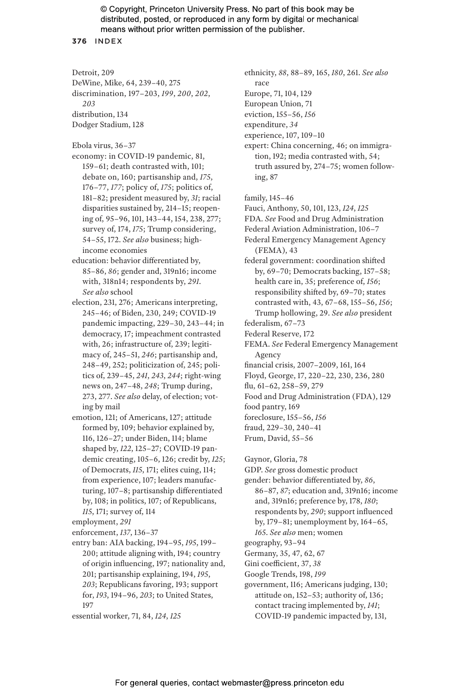**376** INDEX

Detroit, 209

- DeWine, Mike, 64, 239–40, 275 discrimination, 197–203, *199*, *200*, *202*, *203*
- distribution, 134
- Dodger Stadium, 128
- Ebola virus, 36–37
- economy: in COVID-19 pandemic, 81, 159–61; death contrasted with, 101; debate on, 160; partisanship and, *175*, 176–77, *177*; policy of, *175*; politics of, 181–82; president measured by, *31*; racial disparities sustained by, 214–15; reopening of, 95–96, 101, 143–44, 154, 238, 277; survey of, 174, *175*; Trump considering, 54–55, 172. *See also* business; highincome economies
- education: behavior differentiated by, 85–86, *86*; gender and, 319n16; income with, 318n14; respondents by, *291*. *See also* school
- election, 231, 276; Americans interpreting, 245–46; of Biden, 230, 249; COVID-19 pandemic impacting, 229–30, 243–44; in democracy, 17; impeachment contrasted with, 26; infrastructure of, 239; legitimacy of, 245–51, *246*; partisanship and, 248–49, 252; politicization of, 245; politics of, 239–45, *241*, *243*, *244*; right-wing news on, 247–48, *248*; Trump during, 273, 277. *See also* delay, of election; voting by mail
- emotion, 121; of Americans, 127; attitude formed by, 109; behavior explained by, 116, 126–27; under Biden, 114; blame shaped by, *122*, 125–27; COVID-19 pandemic creating, 105–6, 126; credit by, *125*; of Democrats, *115*, 171; elites cuing, 114; from experience, 107; leaders manufacturing, 107–8; partisanship differentiated by, 108; in politics, 107; of Republicans, *115*, 171; survey of, 114
- employment, *291*
- enforcement, *137*, 136–37
- entry ban: AIA backing, 194–95, *195*, 199– 200; attitude aligning with, 194; country of origin influencing, 197; nationality and, 201; partisanship explaining, 194, *195*, *203*; Republicans favoring, 193; support for, *193*, 194–96, *203*; to United States, 197
- essential worker, 71, 84, *124*, *125*
- ethnicity, *88*, 88–89, 165, *180*, 261. *See also* race
- Europe, 71, 104, 129
- European Union, 71
- eviction, 155–56, *156*
- expenditure, *34*
- experience, 107, 109–10
- expert: China concerning, 46; on immigration, 192; media contrasted with, 54; truth assured by, 274–75; women following, 87

family, 145–46

- Fauci, Anthony, 50, 101, 123, *124*, *125*
- FDA. *See* Food and Drug Administration

Federal Aviation Administration, 106–7

Federal Emergency Management Agency (FEMA), 43

- federal government: coordination shifted by, 69–70; Democrats backing, 157–58; health care in, 35; preference of, *156*; responsibility shifted by, 69–70; states contrasted with, 43, 67–68, 155–56, *156*; Trump hollowing, 29. *See also* president federalism, 67–73
- Federal Reserve, 172
- FEMA. *See* Federal Emergency Management Agency
- financial crisis, 2007–2009, 161, 164
- Floyd, George, 17, 220–22, 230, 236, 280
- flu, 61–62, 258–59, 279
- Food and Drug Administration (FDA), 129
- food pantry, 169
- foreclosure, 155–56, *156*
- fraud, 229–30, 240–41
- Frum, David, 55–56

Gaynor, Gloria, 78 GDP. *See* gross domestic product gender: behavior differentiated by, *86*, 86–87, *87*; education and, 319n16; income and, 319n16; preference by, 178, *180*; respondents by, *290*; support influenced

- by, 179–81; unemployment by, 164–65,
- *165*. *See also* men; women
- geography, 93–94
- Germany, 35, 47, 62, 67
- Gini coefficient, 37, *38*
- Google Trends, 198, *199*
- government, 116; Americans judging, 130; attitude on, 152–53; authority of, 136; contact tracing implemented by, *141*; COVID-19 pandemic impacted by, 131,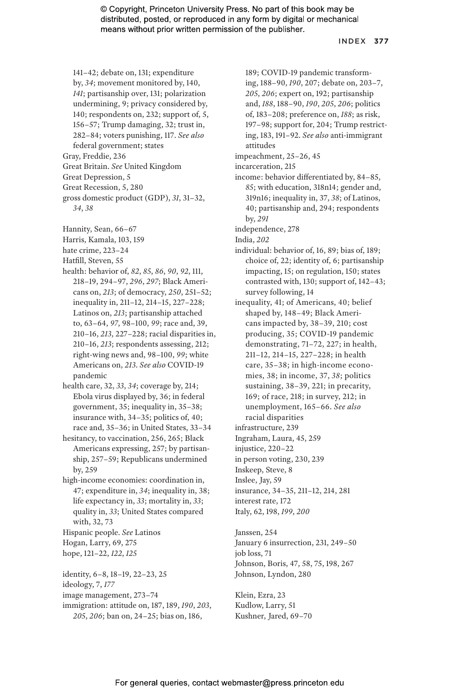### INDEX **377**

141–42; debate on, 131; expenditure by, *34*; movement monitored by, 140, *141*; partisanship over, 131; polarization undermining, 9; privacy considered by, 140; respondents on, 232; support of, 5, 156–57; Trump damaging, 32; trust in, 282–84; voters punishing, 117. *See also*

federal government; states

Gray, Freddie, 236

Great Britain. *See* United Kingdom

Great Depression, 5

Great Recession, 5, 280

gross domestic product (GDP), *31*, 31–32, *34*, *38*

- Hannity, Sean, 66–67
- Harris, Kamala, 103, 159
- hate crime, 223–24
- Hatfill, Steven, 55
- health: behavior of, *82*, *85*, *86*, *90*, *92*, 111, 218–19, 294–97, *296*, *297*; Black Americans on, *213*; of democracy, *250*, 251–52; inequality in, 211–12, 214–15, 227–228; Latinos on, *213*; partisanship attached to, 63–64, *97*, 98–100, *99*; race and, 39, 210–16, *213*, 227–228; racial disparities in, 210–16, *213*; respondents assessing, 212; right-wing news and, 98–100, *99*; white Americans on, *213*. *See also* COVID-19 pandemic
- health care, 32, *33*, *34*; coverage by, 214; Ebola virus displayed by, 36; in federal government, 35; inequality in, 35–38; insurance with, 34–35; politics of, 40; race and, 35–36; in United States, 33–34
- hesitancy, to vaccination, 256, 265; Black Americans expressing, 257; by partisanship, 257–59; Republicans undermined by, 259
- high-income economies: coordination in, 47; expenditure in, *34*; inequality in, 38; life expectancy in, *33*; mortality in, *33*; quality in, *33*; United States compared with, 32, 73

Hispanic people. *See* Latinos Hogan, Larry, 69, 275 hope, 121–22, *122*, *125*

identity, 6–8, 18–19, 22–23, 25 ideology, 7, *177* image management, 273–74 immigration: attitude on, 187, 189, *190*, *203*, *205*, *206*; ban on, 24–25; bias on, 186,

189; COVID-19 pandemic transforming, 188–90, *190*, 207; debate on, 203–7, *205*, *206*; expert on, 192; partisanship and, *188*, 188–90, *190*, *205*, *206*; politics of, 183–208; preference on, *188*; as risk, 197–98; support for, 204; Trump restricting, 183, 191–92. *See also* anti-immigrant attitudes

impeachment, 25–26, 45

incarceration, 215

- income: behavior differentiated by, 84–85, *85*; with education, 318n14; gender and, 319n16; inequality in, 37, *38*; of Latinos, 40; partisanship and, 294; respondents by, *291*
- independence, 278

India, *202*

- individual: behavior of, 16, 89; bias of, 189; choice of, 22; identity of, 6; partisanship impacting, 15; on regulation, 150; states contrasted with, 130; support of, 142–43; survey following, 14
- inequality, 41; of Americans, 40; belief shaped by, 148–49; Black Americans impacted by, 38–39, 210; cost producing, 35; COVID-19 pandemic demonstrating, 71–72, 227; in health, 211–12, 214–15, 227–228; in health care, 35–38; in high-income economies, 38; in income, 37, *38*; politics sustaining, 38–39, 221; in precarity, 169; of race, 218; in survey, 212; in unemployment, 165–66. *See also* racial disparities infrastructure, 239
- Ingraham, Laura, 45, 259
- injustice, 220–22
- in person voting, 230, 239
- Inskeep, Steve, 8
- Inslee, Jay, 59
- insurance, 34–35, 211–12, 214, 281

interest rate, 172

Italy, 62, 198, *199*, *200*

Janssen, 254 January 6 insurrection, 231, 249–50 job loss, 71 Johnson, Boris, 47, 58, 75, 198, 267 Johnson, Lyndon, 280

Klein, Ezra, 23 Kudlow, Larry, 51 Kushner, Jared, 69–70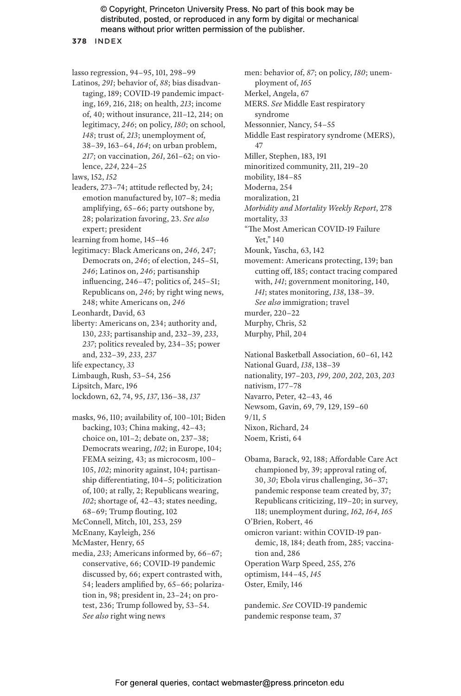**378** INDEX

lasso regression, 94–95, 101, 298–99

- Latinos, *291*; behavior of, *88*; bias disadvantaging, 189; COVID-19 pandemic impacting, 169, 216, 218; on health, *213*; income of, 40; without insurance, 211–12, 214; on legitimacy, *246*; on policy, *180*; on school, *148*; trust of, *213*; unemployment of, 38–39, 163–64, *164*; on urban problem, *217*; on vaccination, *261*, 261–62; on violence, *224*, 224–25
- laws, 152, *152*
- leaders, 273–74; attitude reflected by, 24; emotion manufactured by, 107–8; media amplifying, 65–66; party outshone by, 28; polarization favoring, 23. *See also* expert; president

learning from home, 145–46

- legitimacy: Black Americans on, *246*, 247; Democrats on, *246*; of election, 245–51, *246*; Latinos on, *246*; partisanship influencing, 246–47; politics of, 245–51; Republicans on, *246*; by right wing news, 248; white Americans on, *246*
- Leonhardt, David, 63
- liberty: Americans on, 234; authority and, 130, *233*; partisanship and, 232–39, *233*, *237*; politics revealed by, 234–35; power and, 232–39, *233*, *237*
- life expectancy, *33*
- Limbaugh, Rush, 53–54, 256
- Lipsitch, Marc, 196
- lockdown, 62, 74, 95, *137*, 136–38, *137*
- masks, 96, 110; availability of, 100–101; Biden backing, 103; China making, 42–43; choice on, 101–2; debate on, 237–38; Democrats wearing, *102*; in Europe, 104; FEMA seizing, 43; as microcosm, 100– 105, *102*; minority against, 104; partisanship differentiating, 104–5; politicization of, 100; at rally, 2; Republicans wearing, *102*; shortage of, 42–43; states needing, 68–69; Trump flouting, 102
- McConnell, Mitch, 101, 253, 259
- McEnany, Kayleigh, 256
- McMaster, Henry, 65
- media, *233*; Americans informed by, 66–67; conservative, 66; COVID-19 pandemic discussed by, 66; expert contrasted with, 54; leaders amplified by, 65–66; polarization in, 98; president in, 23–24; on protest, 236; Trump followed by, 53–54. *See also* right wing news

men: behavior of, *87*; on policy, *180*; unemployment of, *165* Merkel, Angela, 67 MERS. *See* Middle East respiratory syndrome Messonnier, Nancy, 54–55 Middle East respiratory syndrome (MERS), 47 Miller, Stephen, 183, 191 minoritized community, 211, 219–20 mobility, 184–85 Moderna, 254 moralization, 21 *Morbidity and Mortality Weekly Report*, 278 mortality, *33* "The Most American COVID-19 Failure Yet," 140 Mounk, Yascha, 63, 142 movement: Americans protecting, 139; ban cutting off, 185; contact tracing compared with, *141*; government monitoring, 140, *141*; states monitoring, *138*, 138–39. *See also* immigration; travel murder, 220–22 Murphy, Chris, 52

Murphy, Phil, 204

National Basketball Association, 60–61, 142 National Guard, *138*, 138–39 nationality, 197–203, *199*, *200*, *202*, 203, *203* nativism, 177–78 Navarro, Peter, 42–43, 46 Newsom, Gavin, 69, 79, 129, 159–60 9/11, 5 Nixon, Richard, 24 Noem, Kristi, 64

Obama, Barack, 92, 188; Affordable Care Act championed by, 39; approval rating of, 30, *30*; Ebola virus challenging, 36–37; pandemic response team created by, 37; Republicans criticizing, 119–20; in survey, 118; unemployment during, *162*, *164*, *165* O'Brien, Robert, 46 omicron variant: within COVID-19 pandemic, 18, 184; death from, 285; vaccination and, 286 Operation Warp Speed, 255, 276 optimism, 144–45, *145* Oster, Emily, 146

pandemic. *See* COVID-19 pandemic pandemic response team, 37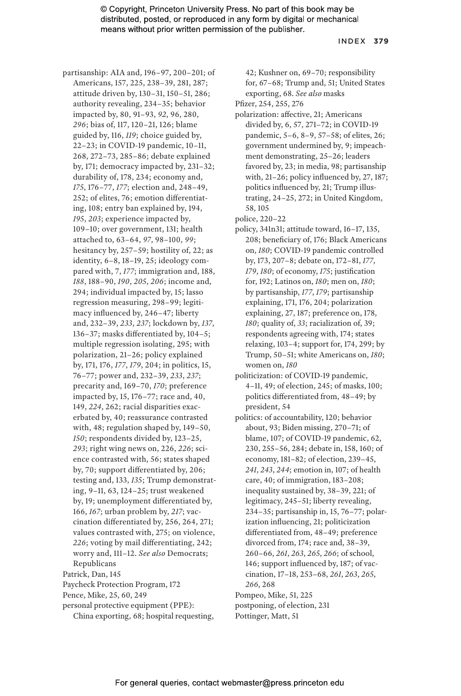#### INDEX **379**

partisanship: AIA and, 196–97, 200–201; of Americans, 157, 225, 238–39, 281, 287; attitude driven by, 130–31, 150–51, 286; authority revealing, 234–35; behavior impacted by, 80, 91–93, *92*, 96, 280, *296*; bias of, 117, 120–21, 126; blame guided by, 116, *119*; choice guided by, 22–23; in COVID-19 pandemic, 10–11, 268, 272–73, 285–86; debate explained by, 171; democracy impacted by, 231–32; durability of, 178, 234; economy and, *175*, 176–77, *177*; election and, 248–49, 252; of elites, 76; emotion differentiating, 108; entry ban explained by, 194, *195*, *203*; experience impacted by, 109–10; over government, 131; health attached to, 63–64, *97*, 98–100, *99*; hesitancy by, 257–59; hostility of, 22; as identity, 6–8, 18–19, 25; ideology compared with, 7, *177*; immigration and, 188, *188*, 188–90, *190*, *205*, *206*; income and, 294; individual impacted by, 15; lasso regression measuring, 298–99; legitimacy influenced by, 246–47; liberty and, 232–39, *233*, *237*; lockdown by, *137*, 136–37; masks differentiated by, 104–5; multiple regression isolating, 295; with polarization, 21–26; policy explained by, 171, 176, *177*, *179*, 204; in politics, 15, 76–77; power and, 232–39, *233*, *237*; precarity and, 169–70, *170*; preference impacted by, 15, 176–77; race and, 40, 149, *224*, 262; racial disparities exacerbated by, 40; reassurance contrasted with, 48; regulation shaped by, 149–50, *150*; respondents divided by, 123–25, *293*; right wing news on, 226, *226*; science contrasted with, 56; states shaped by, 70; support differentiated by, 206; testing and, 133, *135*; Trump demonstrating, 9–11, 63, 124–25; trust weakened by, 19; unemployment differentiated by, 166, *167*; urban problem by, *217*; vaccination differentiated by, 256, 264, 271; values contrasted with, 275; on violence, *226*; voting by mail differentiating, 242; worry and, 111–12. *See also* Democrats; Republicans Patrick, Dan, 145 Paycheck Protection Program, 172 Pence, Mike, 25, 60, 249 personal protective equipment (PPE): China exporting, 68; hospital requesting,

42; Kushner on, 69–70; responsibility for, 67–68; Trump and, 51; United States exporting, 68. *See also* masks

- Pfizer, 254, 255, 276
- polarization: affective, 21; Americans divided by, 6, 57, 271–72; in COVID-19 pandemic, 5–6, 8–9, 57–58; of elites, 26; government undermined by, 9; impeachment demonstrating, 25–26; leaders favored by, 23; in media, 98; partisanship with, 21–26; policy influenced by, 27, 187; politics influenced by, 21; Trump illustrating, 24–25, 272; in United Kingdom, 58, 105

police, 220–22

- policy, 341n31; attitude toward, 16–17, 135, 208; beneficiary of, 176; Black Americans on, *180*; COVID-19 pandemic controlled by, 173, 207–8; debate on, 172–81, *177*, *179*, *180*; of economy, *175*; justification for, 192; Latinos on, *180*; men on, *180*; by partisanship, *177*, *179*; partisanship explaining, 171, 176, 204; polarization explaining, 27, 187; preference on, 178, *180*; quality of, *33*; racialization of, 39; respondents agreeing with, 174; states relaxing, 103–4; support for, 174, 299; by Trump, 50–51; white Americans on, *180*; women on, *180*
- politicization: of COVID-19 pandemic, 4–11, 49; of election, 245; of masks, 100; politics differentiated from, 48–49; by president, 54
- politics: of accountability, 120; behavior about, 93; Biden missing, 270–71; of blame, 107; of COVID-19 pandemic, 62, 230, 255–56, 284; debate in, 158, 160; of economy, 181–82; of election, 239–45, *241*, *243*, *244*; emotion in, 107; of health care, 40; of immigration, 183–208; inequality sustained by, 38–39, 221; of legitimacy, 245–51; liberty revealing, 234–35; partisanship in, 15, 76–77; polarization influencing, 21; politicization differentiated from, 48–49; preference divorced from, 174; race and, 38–39, 260–66, *261*, *263*, *265*, *266*; of school, 146; support influenced by, 187; of vaccination, 17–18, 253–68, *261*, *263*, *265*, *266*, 268
- Pompeo, Mike, 51, 225
- postponing, of election, 231
- Pottinger, Matt, 51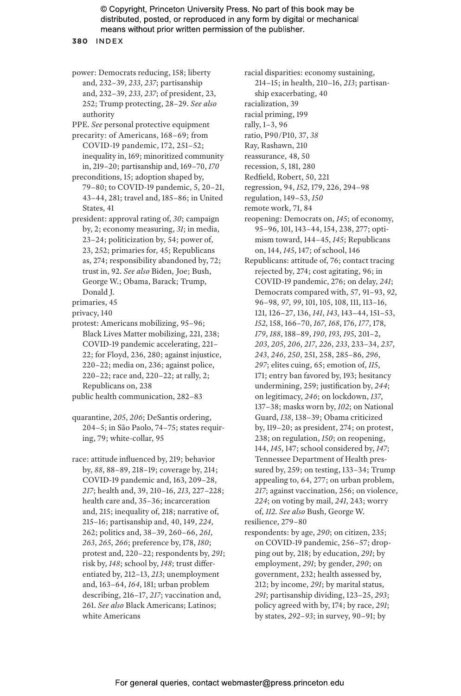**380** INDEX

- power: Democrats reducing, 158; liberty and, 232–39, *233*, *237*; partisanship and, 232–39, *233*, *237*; of president, 23, 252; Trump protecting, 28–29. *See also* authority
- PPE. *See* personal protective equipment
- precarity: of Americans, 168–69; from COVID-19 pandemic, 172, 251–52; inequality in, 169; minoritized community in, 219–20; partisanship and, 169–70, *170*
- preconditions, 15; adoption shaped by, 79–80; to COVID-19 pandemic, 5, 20–21, 43–44, 281; travel and, 185–86; in United States, 41
- president: approval rating of, *30*; campaign by, 2; economy measuring, *31*; in media, 23–24; politicization by, 54; power of, 23, 252; primaries for, 45; Republicans as, 274; responsibility abandoned by, 72; trust in, 92. *See also* Biden, Joe; Bush, George W.; Obama, Barack; Trump, Donald J.
- primaries, 45
- privacy, 140
- protest: Americans mobilizing, 95–96; Black Lives Matter mobilizing, 221, 238; COVID-19 pandemic accelerating, 221– 22; for Floyd, 236, 280; against injustice, 220–22; media on, 236; against police, 220–22; race and, 220–22; at rally, 2; Republicans on, 238
- public health communication, 282–83
- quarantine, *205*, *206*; DeSantis ordering, 204–5; in São Paolo, 74–75; states requiring, 79; white-collar, 95
- race: attitude influenced by, 219; behavior by, *88*, 88–89, 218–19; coverage by, 214; COVID-19 pandemic and, 163, 209–28, *217*; health and, 39, 210–16, *213*, 227–228; health care and, 35–36; incarceration and, 215; inequality of, 218; narrative of, 215–16; partisanship and, 40, 149, *224*, 262; politics and, 38–39, 260–66, *261*, *263*, *265*, *266*; preference by, 178, *180*; protest and, 220–22; respondents by, *291*; risk by, *148*; school by, *148*; trust differentiated by, 212–13, *213*; unemployment and, 163–64, *164*, 181; urban problem describing, 216–17, *217*; vaccination and, 261. *See also* Black Americans; Latinos; white Americans
- racial disparities: economy sustaining,
	- 214–15; in health, 210–16, *213*; partisanship exacerbating, 40
- racialization, 39
- racial priming, 199
- rally, 1–3, 96
- ratio, P90/P10, 37, *38*
- Ray, Rashawn, 210
- reassurance, 48, 50
- 
- recession, 5, 181, 280 Redfield, Robert, 50, 221
- 
- regression, 94, *152*, 179, 226, 294–98 regulation, 149–53, *150*
- remote work, 71, 84
- reopening: Democrats on, *145*; of economy, 95–96, 101, 143–44, 154, 238, 277; optimism toward, 144–45, *145*; Republicans on, 144, *145*, 147; of school, 146
- Republicans: attitude of, 76; contact tracing rejected by, 274; cost agitating, 96; in COVID-19 pandemic, 276; on delay, *241*; Democrats compared with, 57, 91–93, *92*, 96–98, *97*, *99*, 101, 105, 108, 111, 113–16, 121, 126–27, 136, *141*, *143*, 143–44, 151–53, *152*, 158, 166–70, *167*, *168*, 176, *177*, 178, *179*, *188*, 188–89, *190*, *193*, *195*, 201–2, *203*, *205*, *206*, *217*, *226*, *233*, 233–34, *237*, *243*, *246*, *250*, 251, 258, 285–86, *296*, *297*; elites cuing, 65; emotion of, *115*, 171; entry ban favored by, 193; hesitancy undermining, 259; justification by, *244*; on legitimacy, *246*; on lockdown, *137*, 137–38; masks worn by, *102*; on National Guard, *138*, 138–39; Obama criticized by, 119–20; as president, 274; on protest, 238; on regulation, *150*; on reopening, 144, *145*, 147; school considered by, *147*; Tennessee Department of Health pressured by, 259; on testing, 133–34; Trump appealing to, 64, 277; on urban problem, *217*; against vaccination, 256; on violence, *224*; on voting by mail, *241*, 243; worry of, *112*. *See also* Bush, George W. resilience, 279–80
- respondents: by age, *290*; on citizen, 235; on COVID-19 pandemic, 256–57; dropping out by, 218; by education, *291*; by employment, *291*; by gender, *290*; on government, 232; health assessed by, 212; by income, *291*; by marital status, *291*; partisanship dividing, 123–25, *293*; policy agreed with by, 174; by race, *291*; by states, *292–93*; in survey, 90–91; by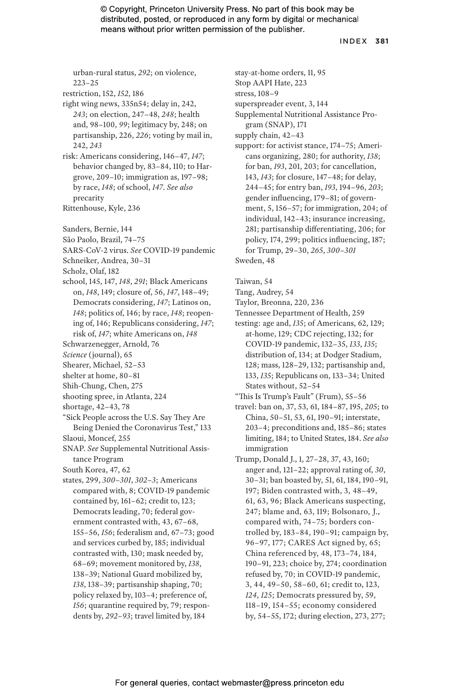### INDEX **381**

urban-rural status, *292*; on violence, 223–25

- restriction, 152, *152*, 186
- right wing news, 335n54; delay in, 242, *243*; on election, 247–48, *248*; health and, 98–100, *99*; legitimacy by, 248; on partisanship, 226, *226*; voting by mail in, 242, *243*
- risk: Americans considering, 146–47, *147*; behavior changed by, 83–84, 110; to Hargrove, 209–10; immigration as, 197–98; by race, *148*; of school, *147*. *See also* precarity
- Rittenhouse, Kyle, 236
- Sanders, Bernie, 144
- São Paolo, Brazil, 74–75
- SARS-CoV-2 virus. *See* COVID-19 pandemic
- Schneiker, Andrea, 30–31
- Scholz, Olaf, 182
- school, 145, 147, *148*, *291*; Black Americans on, *148*, 149; closure of, 56, *147*, 148–49; Democrats considering, *147*; Latinos on, *148*; politics of, 146; by race, *148*; reopening of, 146; Republicans considering, *147*; risk of, *147*; white Americans on, *148*
- Schwarzenegger, Arnold, 76
- *Science* (journal), 65
- Shearer, Michael, 52–53
- shelter at home, 80–81
- Shih-Chung, Chen, 275
- shooting spree, in Atlanta, 224
- shortage, 42–43, 78
- "Sick People across the U.S. Say They Are Being Denied the Coronavirus Test," 133
- Slaoui, Moncef, 255
- SNAP. *See* Supplemental Nutritional Assistance Program
- South Korea, 47, 62
- states, 299, *300–301*, *302–3*; Americans compared with, 8; COVID-19 pandemic contained by, 161–62; credit to, 123; Democrats leading, 70; federal government contrasted with, 43, 67–68, 155–56, *156*; federalism and, 67–73; good and services curbed by, 185; individual contrasted with, 130; mask needed by, 68–69; movement monitored by, *138*, 138–39; National Guard mobilized by, *138*, 138–39; partisanship shaping, 70; policy relaxed by, 103–4; preference of, *156*; quarantine required by, 79; respondents by, *292–93*; travel limited by, 184
- stay-at-home orders, 11, 95
- Stop AAPI Hate, 223
- stress, 108–9
- superspreader event, 3, 144
- Supplemental Nutritional Assistance Program (SNAP), 171
- supply chain, 42–43
- support: for activist stance, 174–75; Americans organizing, 280; for authority, *138*; for ban, *193*, 201, 203; for cancellation, 143, *143*; for closure, 147–48; for delay, 244–45; for entry ban, *193*, 194–96, *203*; gender influencing, 179–81; of government, 5, 156–57; for immigration, 204; of individual, 142–43; insurance increasing, 281; partisanship differentiating, 206; for policy, 174, 299; politics influencing, 187; for Trump, 29–30, *265*, *300–301* Sweden, 48
- Taiwan, 54
- Tang, Audrey, 54
- Taylor, Breonna, 220, 236
- Tennessee Department of Health, 259
- testing: age and, *135*; of Americans, 62, 129; at-home, 129; CDC rejecting, 132; for COVID-19 pandemic, 132–35, *133*, *135*; distribution of, 134; at Dodger Stadium, 128; mass, 128–29, 132; partisanship and, 133, *135*; Republicans on, 133–34; United States without, 52–54
- "This Is Trump's Fault" (Frum), 55–56
- travel: ban on, 37, 53, 61, 184–87, 195, *205*; to China, 50–51, 53, 61, 190–91; interstate, 203–4; preconditions and, 185–86; states limiting, 184; to United States, 184. *See also* immigration
- Trump, Donald J., 1, 27–28, 37, 43, 160; anger and, 121–22; approval rating of, *30*, 30–31; ban boasted by, 51, 61, 184, 190–91, 197; Biden contrasted with, 3, 48–49, 61, 63, 96; Black Americans suspecting, 247; blame and, 63, 119; Bolsonaro, J., compared with, 74–75; borders controlled by, 183–84, 190–91; campaign by, 96–97, 177; CARES Act signed by, 65; China referenced by, 48, 173–74, 184, 190–91, 223; choice by, 274; coordination refused by, 70; in COVID-19 pandemic, 3, 44, 49–50, 58–60, 61; credit to, 123, *124*, *125*; Democrats pressured by, 59, 118–19, 154–55; economy considered by, 54–55, 172; during election, 273, 277;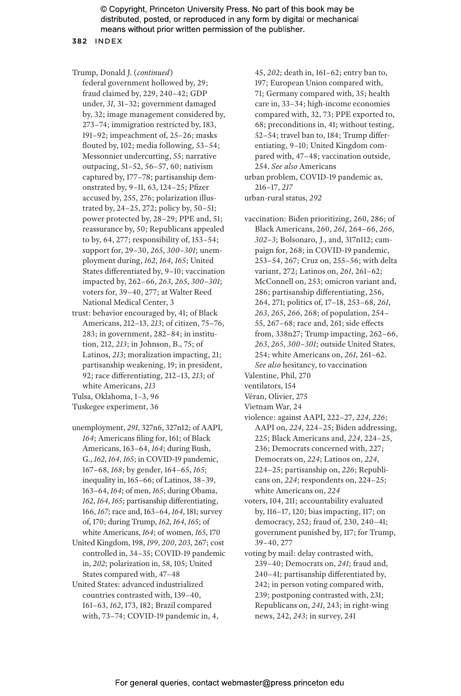#### **382** INDEX

Trump, Donald J. (*continued*)

federal government hollowed by, 29; fraud claimed by, 229, 240–42; GDP under, *31*, 31–32; government damaged by, 32; image management considered by, 273–74; immigration restricted by, 183, 191–92; impeachment of, 25–26; masks flouted by, 102; media following, 53–54; Messonnier undercutting, 55; narrative outpacing, 51–52, 56–57, 60; nativism captured by, 177–78; partisanship demonstrated by, 9–11, 63, 124–25; Pfizer accused by, 255, 276; polarization illustrated by, 24–25, 272; policy by, 50–51; power protected by, 28–29; PPE and, 51; reassurance by, 50; Republicans appealed to by, 64, 277; responsibility of, 153–54; support for, 29–30, *265*, *300–301*; unemployment during, *162*, *164*, *165*; United States differentiated by, 9–10; vaccination impacted by, 262–66, *263*, *265*, *300–301*; voters for, 39–40, 277; at Walter Reed National Medical Center, 3

- trust: behavior encouraged by, 41; of Black Americans, 212–13, *213*; of citizen, 75–76, 283; in government, 282–84; in institution, 212, *213*; in Johnson, B., 75; of Latinos, *213*; moralization impacting, 21; partisanship weakening, 19; in president, 92; race differentiating, 212–13, *213*; of white Americans, *213*
- Tulsa, Oklahoma, 1–3, 96
- Tuskegee experiment, 36
- unemployment, *291*, 327n6, 327n12; of AAPI, *164*; Americans filing for, 161; of Black Americans, 163–64, *164*; during Bush, G., *162*, *164*, *165*; in COVID-19 pandemic, 167–68, *168*; by gender, 164–65, *165*; inequality in, 165–66; of Latinos, 38–39, 163–64, *164*; of men, *165*; during Obama, *162*, *164*, *165*; partisanship differentiating, 166, *167*; race and, 163–64, *164*, 181; survey of, 170; during Trump, *162*, *164*, *165*; of white Americans, *164*; of women, *165*, 170
- United Kingdom, 198, *199*, *200*, *203*, 267; cost controlled in, 34–35; COVID-19 pandemic in, *202*; polarization in, 58, 105; United States compared with, 47–48
- United States: advanced industrialized countries contrasted with, 139–40, 161–63, *162*, 173, 182; Brazil compared with, 73–74; COVID-19 pandemic in, 4,

45, *202*; death in, 161–62; entry ban to, 197; European Union compared with, 71; Germany compared with, 35; health care in, 33–34; high-income economies compared with, 32, 73; PPE exported to, 68; preconditions in, 41; without testing, 52–54; travel ban to, 184; Trump differentiating, 9–10; United Kingdom compared with, 47–48; vaccination outside, 254. *See also* Americans

urban problem, COVID-19 pandemic as, 216–17, *217*

urban-rural status, *292*

- vaccination: Biden prioritizing, 260, 286; of Black Americans, 260, *261*, 264–66, *266*, *302–3*; Bolsonaro, J., and, 317n112; campaign for, 268; in COVID-19 pandemic, 253–54, 267; Cruz on, 255–56; with delta variant, 272; Latinos on, *261*, 261–62; McConnell on, 253; omicron variant and, 286; partisanship differentiating, 256, 264, 271; politics of, 17–18, 253–68, *261*, *263*, *265*, *266*, 268; of population, 254– 55, 267–68; race and, 261; side effects from, 338n27; Trump impacting, 262–66, *263*, *265*, *300–301*; outside United States, 254; white Americans on, *261*, 261–62. *See also* hesitancy, to vaccination
- Valentine, Phil, 270
- ventilators, 154
- Véran, Olivier, 275
- Vietnam War, 24
- violence: against AAPI, 222–27, *224*, *226*; AAPI on, *224*, 224–25; Biden addressing, 225; Black Americans and, *224*, 224–25, 236; Democrats concerned with, 227; Democrats on, *224*; Latinos on, *224*, 224–25; partisanship on, *226*; Republicans on, *224*; respondents on, 224–25; white Americans on, *224*
- voters, 104, 211; accountability evaluated by, 116–17, 120; bias impacting, 117; on democracy, 252; fraud of, 230, 240–41; government punished by, 117; for Trump, 39–40, 277
- voting by mail: delay contrasted with, 239–40; Democrats on, *241*; fraud and, 240–41; partisanship differentiated by, 242; in person voting compared with, 239; postponing contrasted with, 231; Republicans on, *241*, 243; in right-wing news, 242, *243*; in survey, 241